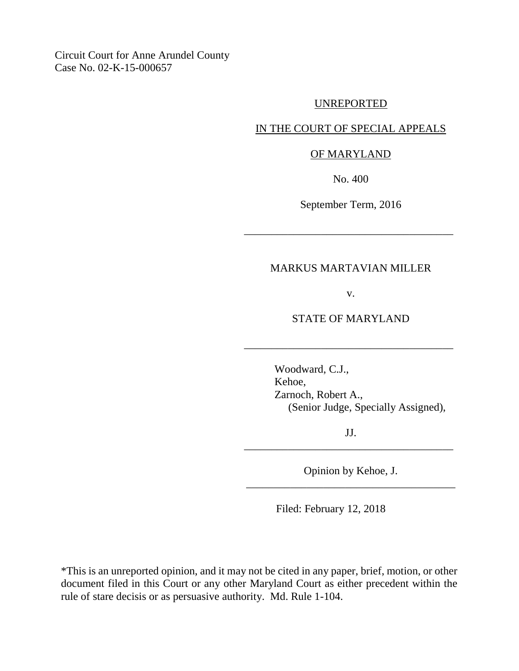Circuit Court for Anne Arundel County Case No. 02-K-15-000657

## UNREPORTED

# IN THE COURT OF SPECIAL APPEALS

### OF MARYLAND

No. 400

September Term, 2016

\_\_\_\_\_\_\_\_\_\_\_\_\_\_\_\_\_\_\_\_\_\_\_\_\_\_\_\_\_\_\_\_\_\_\_\_\_\_

# MARKUS MARTAVIAN MILLER

v.

## STATE OF MARYLAND

\_\_\_\_\_\_\_\_\_\_\_\_\_\_\_\_\_\_\_\_\_\_\_\_\_\_\_\_\_\_\_\_\_\_\_\_\_\_

Woodward, C.J., Kehoe, Zarnoch, Robert A., (Senior Judge, Specially Assigned),

JJ. \_\_\_\_\_\_\_\_\_\_\_\_\_\_\_\_\_\_\_\_\_\_\_\_\_\_\_\_\_\_\_\_\_\_\_\_\_\_

Opinion by Kehoe, J. \_\_\_\_\_\_\_\_\_\_\_\_\_\_\_\_\_\_\_\_\_\_\_\_\_\_\_\_\_\_\_\_\_\_\_\_\_\_

Filed: February 12, 2018

\*This is an unreported opinion, and it may not be cited in any paper, brief, motion, or other document filed in this Court or any other Maryland Court as either precedent within the rule of stare decisis or as persuasive authority. Md. Rule 1-104.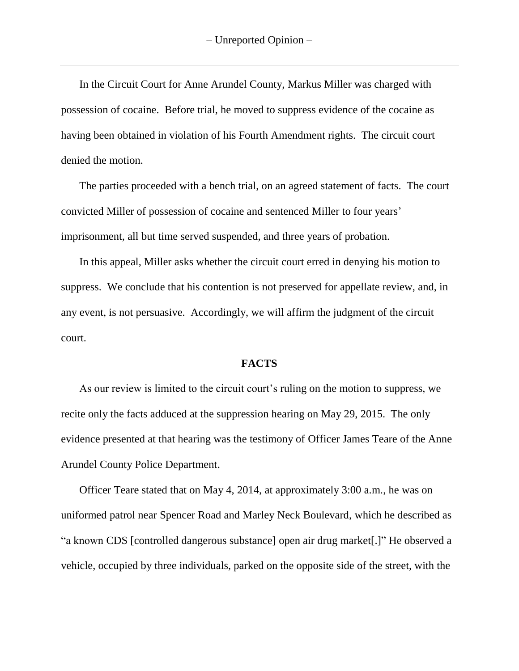In the Circuit Court for Anne Arundel County, Markus Miller was charged with possession of cocaine. Before trial, he moved to suppress evidence of the cocaine as having been obtained in violation of his Fourth Amendment rights. The circuit court denied the motion.

The parties proceeded with a bench trial, on an agreed statement of facts. The court convicted Miller of possession of cocaine and sentenced Miller to four years' imprisonment, all but time served suspended, and three years of probation.

In this appeal, Miller asks whether the circuit court erred in denying his motion to suppress. We conclude that his contention is not preserved for appellate review, and, in any event, is not persuasive. Accordingly, we will affirm the judgment of the circuit court.

## **FACTS**

As our review is limited to the circuit court's ruling on the motion to suppress, we recite only the facts adduced at the suppression hearing on May 29, 2015. The only evidence presented at that hearing was the testimony of Officer James Teare of the Anne Arundel County Police Department.

Officer Teare stated that on May 4, 2014, at approximately 3:00 a.m., he was on uniformed patrol near Spencer Road and Marley Neck Boulevard, which he described as "a known CDS [controlled dangerous substance] open air drug market[.]" He observed a vehicle, occupied by three individuals, parked on the opposite side of the street, with the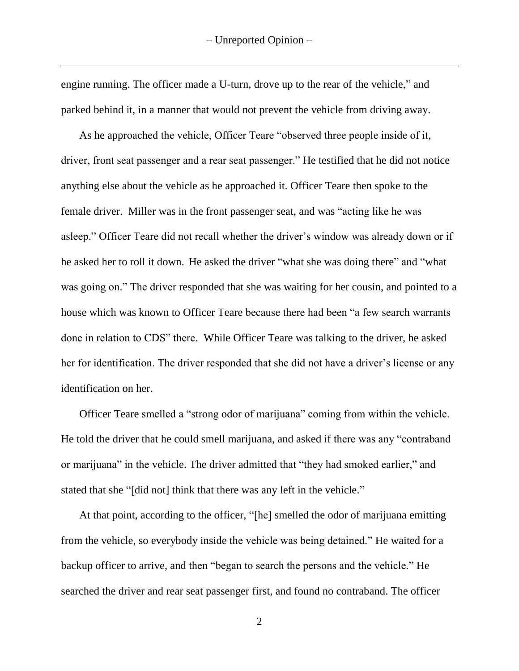engine running. The officer made a U-turn, drove up to the rear of the vehicle," and parked behind it, in a manner that would not prevent the vehicle from driving away.

As he approached the vehicle, Officer Teare "observed three people inside of it, driver, front seat passenger and a rear seat passenger." He testified that he did not notice anything else about the vehicle as he approached it. Officer Teare then spoke to the female driver. Miller was in the front passenger seat, and was "acting like he was asleep." Officer Teare did not recall whether the driver's window was already down or if he asked her to roll it down. He asked the driver "what she was doing there" and "what was going on." The driver responded that she was waiting for her cousin, and pointed to a house which was known to Officer Teare because there had been "a few search warrants done in relation to CDS" there. While Officer Teare was talking to the driver, he asked her for identification. The driver responded that she did not have a driver's license or any identification on her.

Officer Teare smelled a "strong odor of marijuana" coming from within the vehicle. He told the driver that he could smell marijuana, and asked if there was any "contraband or marijuana" in the vehicle. The driver admitted that "they had smoked earlier," and stated that she "[did not] think that there was any left in the vehicle."

At that point, according to the officer, "[he] smelled the odor of marijuana emitting from the vehicle, so everybody inside the vehicle was being detained." He waited for a backup officer to arrive, and then "began to search the persons and the vehicle." He searched the driver and rear seat passenger first, and found no contraband. The officer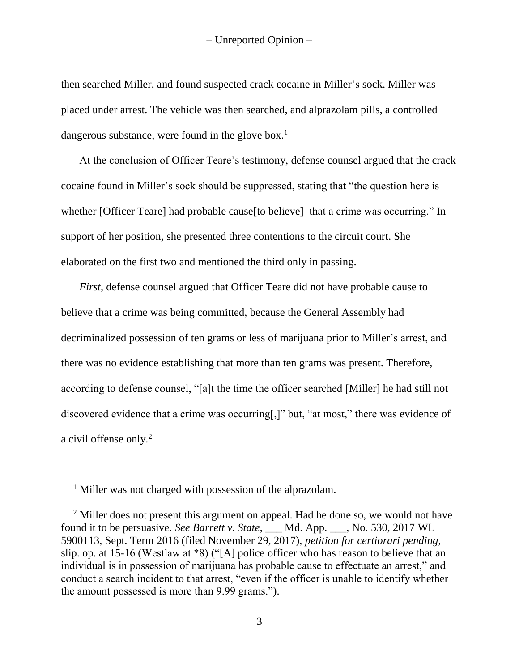then searched Miller, and found suspected crack cocaine in Miller's sock. Miller was placed under arrest. The vehicle was then searched, and alprazolam pills, a controlled dangerous substance, were found in the glove box.<sup>1</sup>

At the conclusion of Officer Teare's testimony, defense counsel argued that the crack cocaine found in Miller's sock should be suppressed, stating that "the question here is whether [Officer Teare] had probable cause [to believe] that a crime was occurring." In support of her position, she presented three contentions to the circuit court. She elaborated on the first two and mentioned the third only in passing.

*First, defense counsel argued that Officer Teare did not have probable cause to* believe that a crime was being committed, because the General Assembly had decriminalized possession of ten grams or less of marijuana prior to Miller's arrest, and there was no evidence establishing that more than ten grams was present. Therefore, according to defense counsel, "[a]t the time the officer searched [Miller] he had still not discovered evidence that a crime was occurring[,]" but, "at most," there was evidence of a civil offense only. 2

 $\overline{a}$ 

<sup>&</sup>lt;sup>1</sup> Miller was not charged with possession of the alprazolam.

<sup>&</sup>lt;sup>2</sup> Miller does not present this argument on appeal. Had he done so, we would not have found it to be persuasive. *See Barrett v. State*, \_\_\_ Md. App. \_\_\_, No. 530, 2017 WL 5900113, Sept. Term 2016 (filed November 29, 2017), *petition for certiorari pending*, slip. op. at 15-16 (Westlaw at \*8) ("[A] police officer who has reason to believe that an individual is in possession of marijuana has probable cause to effectuate an arrest," and conduct a search incident to that arrest, "even if the officer is unable to identify whether the amount possessed is more than 9.99 grams.").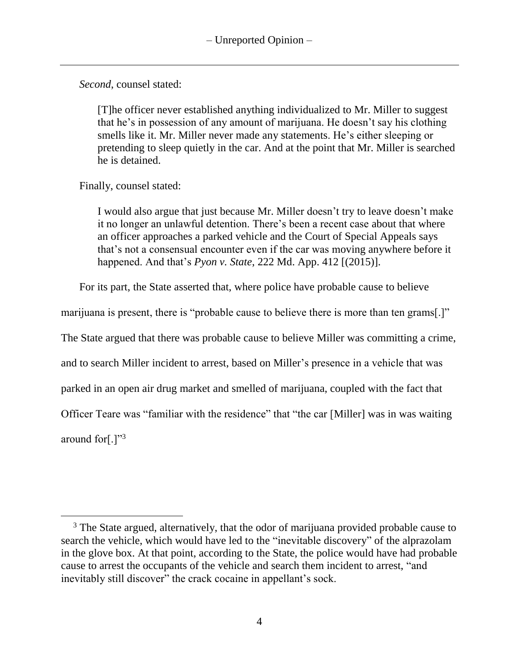*Second*, counsel stated:

[T]he officer never established anything individualized to Mr. Miller to suggest that he's in possession of any amount of marijuana. He doesn't say his clothing smells like it. Mr. Miller never made any statements. He's either sleeping or pretending to sleep quietly in the car. And at the point that Mr. Miller is searched he is detained.

Finally, counsel stated:

I would also argue that just because Mr. Miller doesn't try to leave doesn't make it no longer an unlawful detention. There's been a recent case about that where an officer approaches a parked vehicle and the Court of Special Appeals says that's not a consensual encounter even if the car was moving anywhere before it happened. And that's *Pyon v. State*, 222 Md. App. 412 [(2015)].

For its part, the State asserted that, where police have probable cause to believe

marijuana is present, there is "probable cause to believe there is more than ten grams[.]"

The State argued that there was probable cause to believe Miller was committing a crime,

and to search Miller incident to arrest, based on Miller's presence in a vehicle that was

parked in an open air drug market and smelled of marijuana, coupled with the fact that

Officer Teare was "familiar with the residence" that "the car [Miller] was in was waiting

around for $[.]$ <sup>"3</sup>

 $3$  The State argued, alternatively, that the odor of marijuana provided probable cause to search the vehicle, which would have led to the "inevitable discovery" of the alprazolam in the glove box. At that point, according to the State, the police would have had probable cause to arrest the occupants of the vehicle and search them incident to arrest, "and inevitably still discover" the crack cocaine in appellant's sock.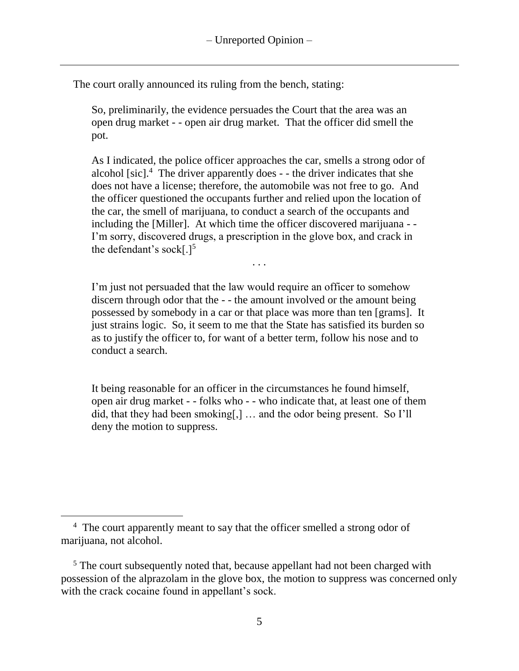The court orally announced its ruling from the bench, stating:

So, preliminarily, the evidence persuades the Court that the area was an open drug market - - open air drug market. That the officer did smell the pot.

As I indicated, the police officer approaches the car, smells a strong odor of alcohol [sic].<sup>4</sup> The driver apparently does - - the driver indicates that she does not have a license; therefore, the automobile was not free to go. And the officer questioned the occupants further and relied upon the location of the car, the smell of marijuana, to conduct a search of the occupants and including the [Miller]. At which time the officer discovered marijuana - - I'm sorry, discovered drugs, a prescription in the glove box, and crack in the defendant's sock[ $.$ ]<sup>5</sup>

. . .

I'm just not persuaded that the law would require an officer to somehow discern through odor that the - - the amount involved or the amount being possessed by somebody in a car or that place was more than ten [grams]. It just strains logic. So, it seem to me that the State has satisfied its burden so as to justify the officer to, for want of a better term, follow his nose and to conduct a search.

It being reasonable for an officer in the circumstances he found himself, open air drug market - - folks who - - who indicate that, at least one of them did, that they had been smoking[,] … and the odor being present. So I'll deny the motion to suppress.

<sup>&</sup>lt;sup>4</sup> The court apparently meant to say that the officer smelled a strong odor of marijuana, not alcohol.

<sup>&</sup>lt;sup>5</sup> The court subsequently noted that, because appellant had not been charged with possession of the alprazolam in the glove box, the motion to suppress was concerned only with the crack cocaine found in appellant's sock.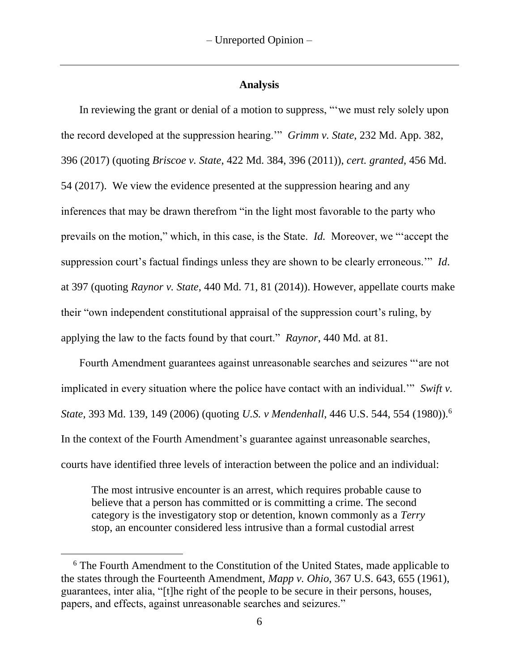### **Analysis**

In reviewing the grant or denial of a motion to suppress, "'we must rely solely upon the record developed at the suppression hearing.'" *Grimm v. State*, 232 Md. App. 382, 396 (2017) (quoting *Briscoe v. State*, 422 Md. 384, 396 (2011)), *cert. granted*, 456 Md. 54 (2017). We view the evidence presented at the suppression hearing and any inferences that may be drawn therefrom "in the light most favorable to the party who prevails on the motion," which, in this case, is the State. *Id.* Moreover, we "'accept the suppression court's factual findings unless they are shown to be clearly erroneous.'" *Id*. at 397 (quoting *Raynor v. State*, 440 Md. 71, 81 (2014)). However, appellate courts make their "own independent constitutional appraisal of the suppression court's ruling, by applying the law to the facts found by that court." *Raynor*, 440 Md. at 81.

Fourth Amendment guarantees against unreasonable searches and seizures "'are not implicated in every situation where the police have contact with an individual.'" *Swift v. State*, 393 Md. 139, 149 (2006) (quoting *U.S. v Mendenhall*, 446 U.S. 544, 554 (1980)).<sup>6</sup> In the context of the Fourth Amendment's guarantee against unreasonable searches, courts have identified three levels of interaction between the police and an individual:

The most intrusive encounter is an arrest, which requires probable cause to believe that a person has committed or is committing a crime. The second category is the investigatory stop or detention, known commonly as a *Terry* stop, an encounter considered less intrusive than a formal custodial arrest

<sup>&</sup>lt;sup>6</sup> The Fourth Amendment to the Constitution of the United States, made applicable to the states through the Fourteenth Amendment, *Mapp v. Ohio*, 367 U.S. 643, 655 (1961), guarantees, inter alia, "[t]he right of the people to be secure in their persons, houses, papers, and effects, against unreasonable searches and seizures."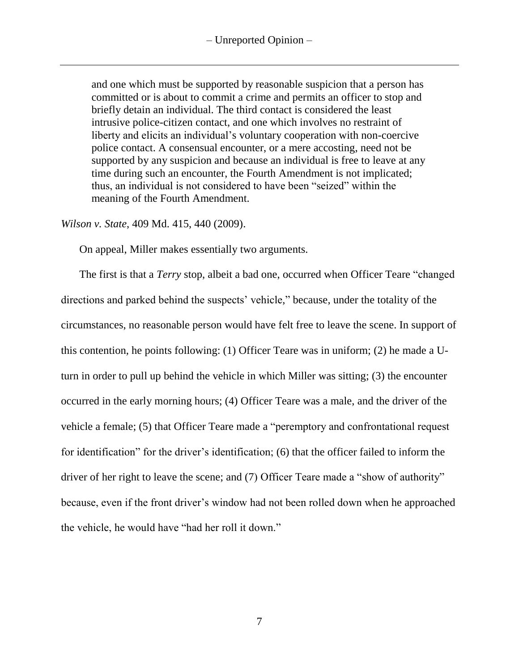and one which must be supported by reasonable suspicion that a person has committed or is about to commit a crime and permits an officer to stop and briefly detain an individual. The third contact is considered the least intrusive police-citizen contact, and one which involves no restraint of liberty and elicits an individual's voluntary cooperation with non-coercive police contact. A consensual encounter, or a mere accosting, need not be supported by any suspicion and because an individual is free to leave at any time during such an encounter, the Fourth Amendment is not implicated; thus, an individual is not considered to have been "seized" within the meaning of the Fourth Amendment.

### *Wilson v. State*, 409 Md. 415, 440 (2009).

On appeal, Miller makes essentially two arguments.

The first is that a *Terry* stop, albeit a bad one, occurred when Officer Teare "changed directions and parked behind the suspects' vehicle," because, under the totality of the circumstances, no reasonable person would have felt free to leave the scene. In support of this contention, he points following: (1) Officer Teare was in uniform; (2) he made a Uturn in order to pull up behind the vehicle in which Miller was sitting; (3) the encounter occurred in the early morning hours; (4) Officer Teare was a male, and the driver of the vehicle a female; (5) that Officer Teare made a "peremptory and confrontational request for identification" for the driver's identification; (6) that the officer failed to inform the driver of her right to leave the scene; and (7) Officer Teare made a "show of authority" because, even if the front driver's window had not been rolled down when he approached the vehicle, he would have "had her roll it down."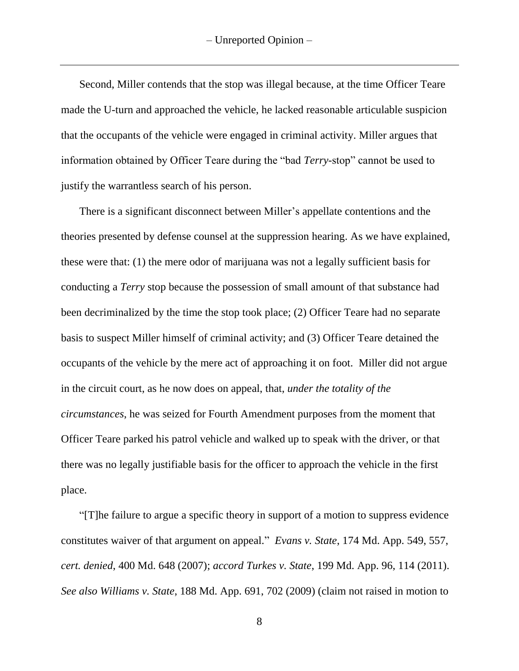Second, Miller contends that the stop was illegal because, at the time Officer Teare made the U-turn and approached the vehicle, he lacked reasonable articulable suspicion that the occupants of the vehicle were engaged in criminal activity. Miller argues that information obtained by Officer Teare during the "bad *Terry-*stop" cannot be used to justify the warrantless search of his person.

There is a significant disconnect between Miller's appellate contentions and the theories presented by defense counsel at the suppression hearing. As we have explained, these were that: (1) the mere odor of marijuana was not a legally sufficient basis for conducting a *Terry* stop because the possession of small amount of that substance had been decriminalized by the time the stop took place; (2) Officer Teare had no separate basis to suspect Miller himself of criminal activity; and (3) Officer Teare detained the occupants of the vehicle by the mere act of approaching it on foot. Miller did not argue in the circuit court, as he now does on appeal, that, *under the totality of the circumstances*, he was seized for Fourth Amendment purposes from the moment that Officer Teare parked his patrol vehicle and walked up to speak with the driver, or that there was no legally justifiable basis for the officer to approach the vehicle in the first place.

"[T]he failure to argue a specific theory in support of a motion to suppress evidence constitutes waiver of that argument on appeal." *Evans v. State*, 174 Md. App. 549, 557, *cert. denied*, 400 Md. 648 (2007); *accord Turkes v. State*, 199 Md. App. 96, 114 (2011). *See also Williams v. State*, 188 Md. App. 691, 702 (2009) (claim not raised in motion to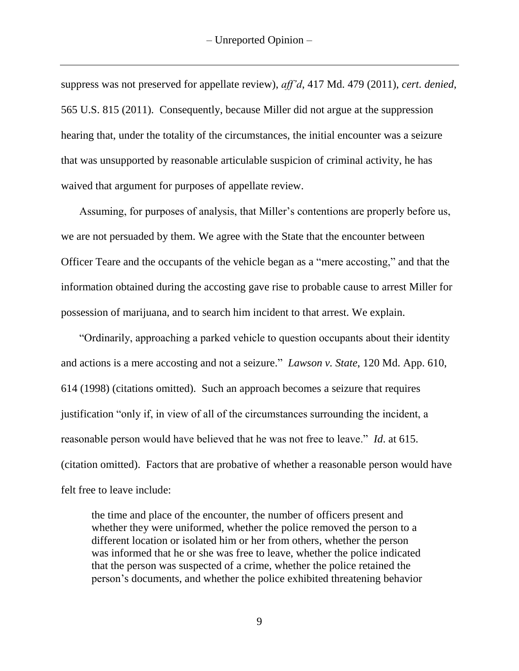suppress was not preserved for appellate review), *aff'd*, 417 Md. 479 (2011), *cert. denied*, 565 U.S. 815 (2011). Consequently, because Miller did not argue at the suppression hearing that, under the totality of the circumstances, the initial encounter was a seizure that was unsupported by reasonable articulable suspicion of criminal activity, he has waived that argument for purposes of appellate review.

Assuming, for purposes of analysis, that Miller's contentions are properly before us, we are not persuaded by them. We agree with the State that the encounter between Officer Teare and the occupants of the vehicle began as a "mere accosting," and that the information obtained during the accosting gave rise to probable cause to arrest Miller for possession of marijuana, and to search him incident to that arrest. We explain.

"Ordinarily, approaching a parked vehicle to question occupants about their identity and actions is a mere accosting and not a seizure." *Lawson v. State*, 120 Md. App. 610, 614 (1998) (citations omitted). Such an approach becomes a seizure that requires justification "only if, in view of all of the circumstances surrounding the incident, a reasonable person would have believed that he was not free to leave." *Id*. at 615. (citation omitted). Factors that are probative of whether a reasonable person would have felt free to leave include:

the time and place of the encounter, the number of officers present and whether they were uniformed, whether the police removed the person to a different location or isolated him or her from others, whether the person was informed that he or she was free to leave, whether the police indicated that the person was suspected of a crime, whether the police retained the person's documents, and whether the police exhibited threatening behavior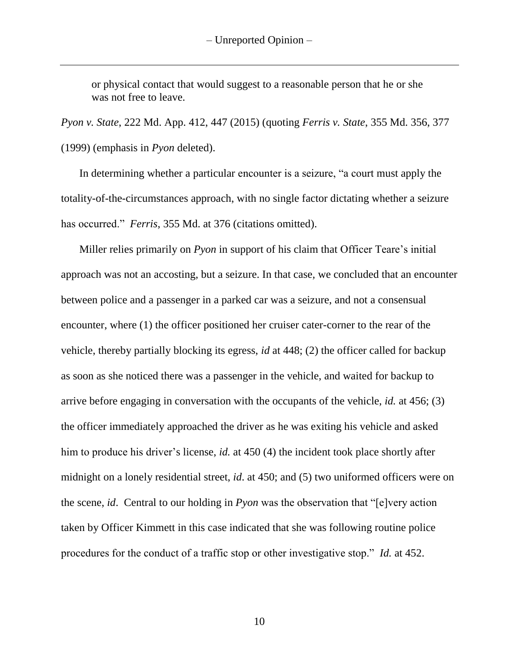or physical contact that would suggest to a reasonable person that he or she was not free to leave.

*Pyon v. State*, 222 Md. App. 412, 447 (2015) (quoting *Ferris v. State*, 355 Md. 356, 377 (1999) (emphasis in *Pyon* deleted).

In determining whether a particular encounter is a seizure, "a court must apply the totality-of-the-circumstances approach, with no single factor dictating whether a seizure has occurred." *Ferris*, 355 Md. at 376 (citations omitted).

Miller relies primarily on *Pyon* in support of his claim that Officer Teare's initial approach was not an accosting, but a seizure. In that case*,* we concluded that an encounter between police and a passenger in a parked car was a seizure, and not a consensual encounter, where (1) the officer positioned her cruiser cater-corner to the rear of the vehicle, thereby partially blocking its egress, *id* at 448; (2) the officer called for backup as soon as she noticed there was a passenger in the vehicle, and waited for backup to arrive before engaging in conversation with the occupants of the vehicle, *id.* at 456; (3) the officer immediately approached the driver as he was exiting his vehicle and asked him to produce his driver's license, *id.* at 450 (4) the incident took place shortly after midnight on a lonely residential street, *id*. at 450; and (5) two uniformed officers were on the scene, *id*. Central to our holding in *Pyon* was the observation that "[e]very action taken by Officer Kimmett in this case indicated that she was following routine police procedures for the conduct of a traffic stop or other investigative stop." *Id.* at 452.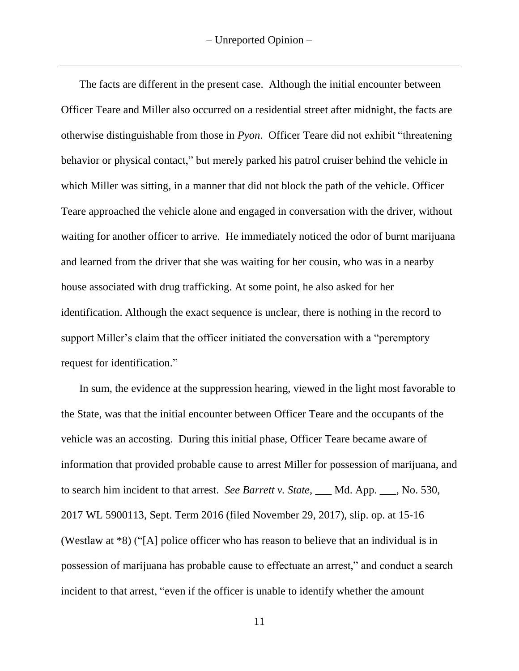The facts are different in the present case. Although the initial encounter between Officer Teare and Miller also occurred on a residential street after midnight, the facts are otherwise distinguishable from those in *Pyon*. Officer Teare did not exhibit "threatening behavior or physical contact," but merely parked his patrol cruiser behind the vehicle in which Miller was sitting, in a manner that did not block the path of the vehicle. Officer Teare approached the vehicle alone and engaged in conversation with the driver, without waiting for another officer to arrive. He immediately noticed the odor of burnt marijuana and learned from the driver that she was waiting for her cousin, who was in a nearby house associated with drug trafficking. At some point, he also asked for her identification. Although the exact sequence is unclear, there is nothing in the record to support Miller's claim that the officer initiated the conversation with a "peremptory request for identification."

In sum, the evidence at the suppression hearing, viewed in the light most favorable to the State, was that the initial encounter between Officer Teare and the occupants of the vehicle was an accosting. During this initial phase, Officer Teare became aware of information that provided probable cause to arrest Miller for possession of marijuana, and to search him incident to that arrest. *See Barrett v. State*, \_\_\_ Md. App. \_\_\_, No. 530, 2017 WL 5900113, Sept. Term 2016 (filed November 29, 2017), slip. op. at 15-16 (Westlaw at \*8) ("[A] police officer who has reason to believe that an individual is in possession of marijuana has probable cause to effectuate an arrest," and conduct a search incident to that arrest, "even if the officer is unable to identify whether the amount